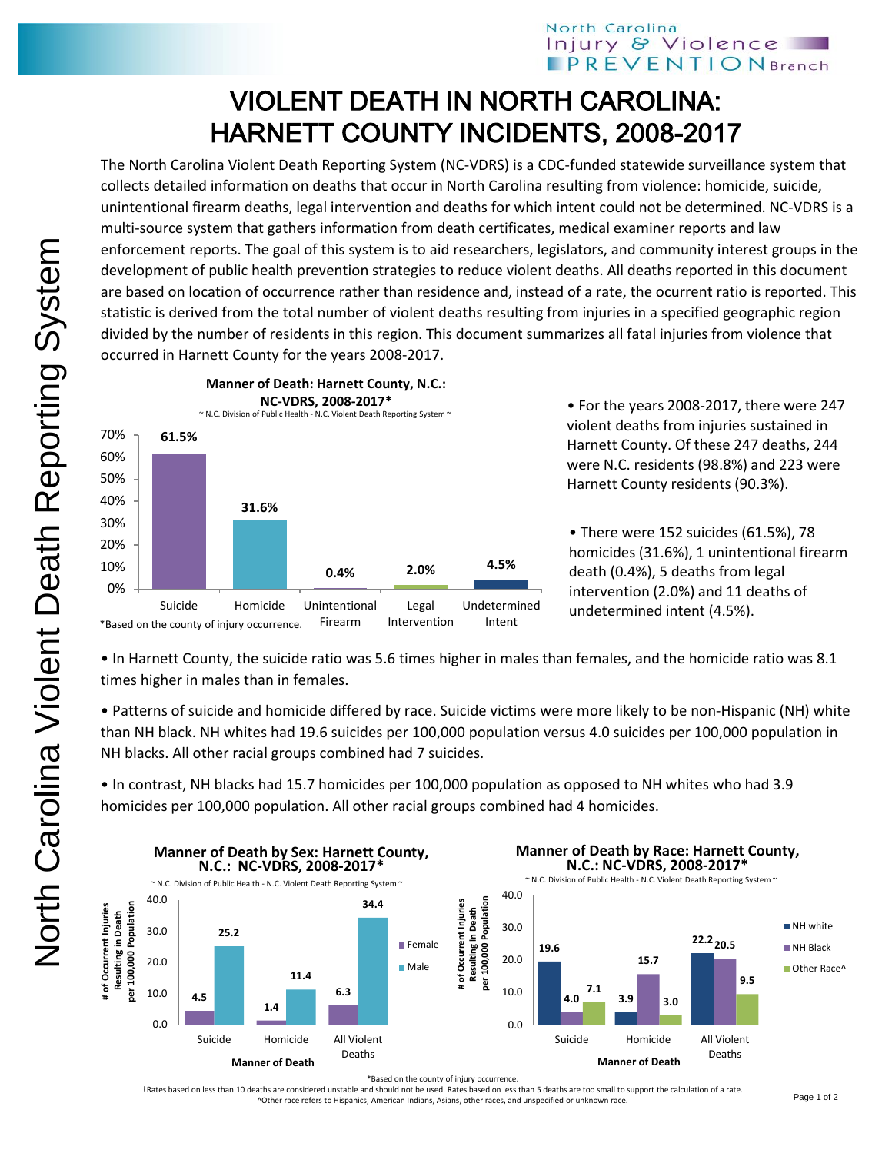## North Carolina Injury & Violence **PREVENTIONBranch**

## VIOLENT DEATH IN NORTH CAROLINA: HARNETT COUNTY INCIDENTS, 2008-2017

The North Carolina Violent Death Reporting System (NC-VDRS) is a CDC-funded statewide surveillance system that collects detailed information on deaths that occur in North Carolina resulting from violence: homicide, suicide, unintentional firearm deaths, legal intervention and deaths for which intent could not be determined. NC-VDRS is a multi-source system that gathers information from death certificates, medical examiner reports and law enforcement reports. The goal of this system is to aid researchers, legislators, and community interest groups in the development of public health prevention strategies to reduce violent deaths. All deaths reported in this document are based on location of occurrence rather than residence and, instead of a rate, the ocurrent ratio is reported. This statistic is derived from the total number of violent deaths resulting from injuries in a specified geographic region divided by the number of residents in this region. This document summarizes all fatal injuries from violence that occurred in Harnett County for the years 2008-2017.



• For the years 2008-2017, there were 247 violent deaths from injuries sustained in Harnett County. Of these 247 deaths, 244 were N.C. residents (98.8%) and 223 were Harnett County residents (90.3%).

• There were 152 suicides (61.5%), 78 homicides (31.6%), 1 unintentional firearm death (0.4%), 5 deaths from legal intervention (2.0%) and 11 deaths of undetermined intent (4.5%).

• In Harnett County, the suicide ratio was 5.6 times higher in males than females, and the homicide ratio was 8.1 times higher in males than in females.

• Patterns of suicide and homicide differed by race. Suicide victims were more likely to be non-Hispanic (NH) white than NH black. NH whites had 19.6 suicides per 100,000 population versus 4.0 suicides per 100,000 population in NH blacks. All other racial groups combined had 7 suicides.

• In contrast, NH blacks had 15.7 homicides per 100,000 population as opposed to NH whites who had 3.9 homicides per 100,000 population. All other racial groups combined had 4 homicides.



\*Based on the county of injury occurrence.

†Rates based on less than 10 deaths are considered unstable and should not be used. Rates based on less than 5 deaths are too small to support the calculation of a rate. ^Other race refers to Hispanics, American Indians, Asians, other races, and unspecified or unknown race.